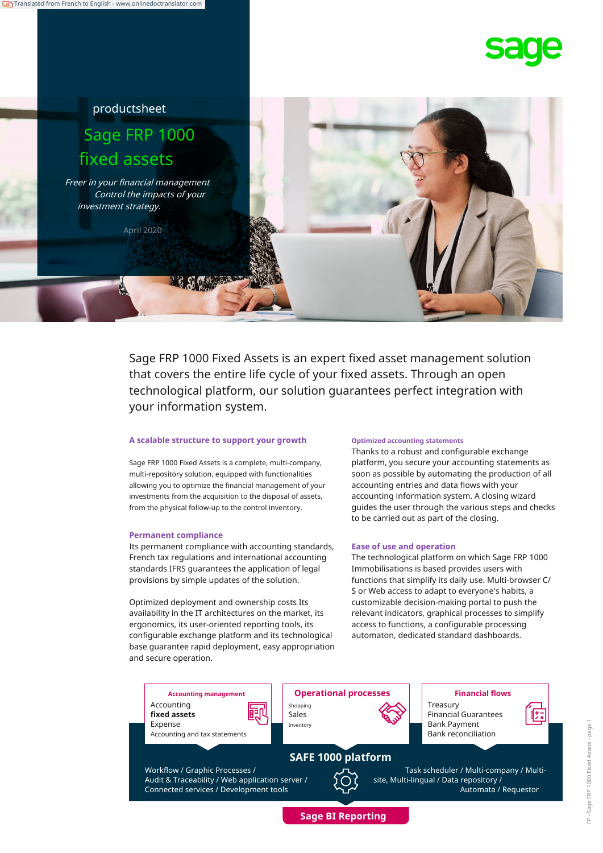





Sage FRP 1000 Fixed Assets is an expert fixed asset management solution that covers the entire life cycle of your fixed assets. Through an open technological platform, our solution guarantees perfect integration with your information system.

#### **A scalable structure to support your growth**

Sage FRP 1000 Fixed Assets is a complete, multi-company, multi-repository solution, equipped with functionalities allowing you to optimize the financial management of your investments from the acquisition to the disposal of assets, from the physical follow-up to the control inventory.

#### **Permanent compliance**

Its permanent compliance with accounting standards, French tax regulations and international accounting standards IFRS guarantees the application of legal provisions by simple updates of the solution.

Optimized deployment and ownership costs Its availability in the IT architectures on the market, its ergonomics, its user-oriented reporting tools, its configurable exchange platform and its technological base guarantee rapid deployment, easy appropriation and secure operation.

#### **Optimized accounting statements**

Thanks to a robust and configurable exchange platform, you secure your accounting statements as soon as possible by automating the production of all accounting entries and data flows with your accounting information system. A closing wizard guides the user through the various steps and checks to be carried out as part of the closing.

#### **Ease of use and operation**

The technological platform on which Sage FRP 1000 Immobilisations is based provides users with functions that simplify its daily use. Multi-browser C/ S or Web access to adapt to everyone's habits, a customizable decision-making portal to push the relevant indicators, graphical processes to simplify access to functions, a configurable processing automaton, dedicated standard dashboards.

**Accounting management Operational processes Financial flows** Accounting 軻 **fixed assets** Expense Accounting and tax statements

Shopping Sales Inventory **Bank Payment** 



Treasury Financial Guarantees

**SAFE 1000 platform**



Bank reconciliation

Task scheduler / Multi-company / Multisite, Multi-lingual / Data repository / Automata / Requestor

Workflow / Graphic Processes / Audit & Traceability / Web application server /



**Sage BI Reporting**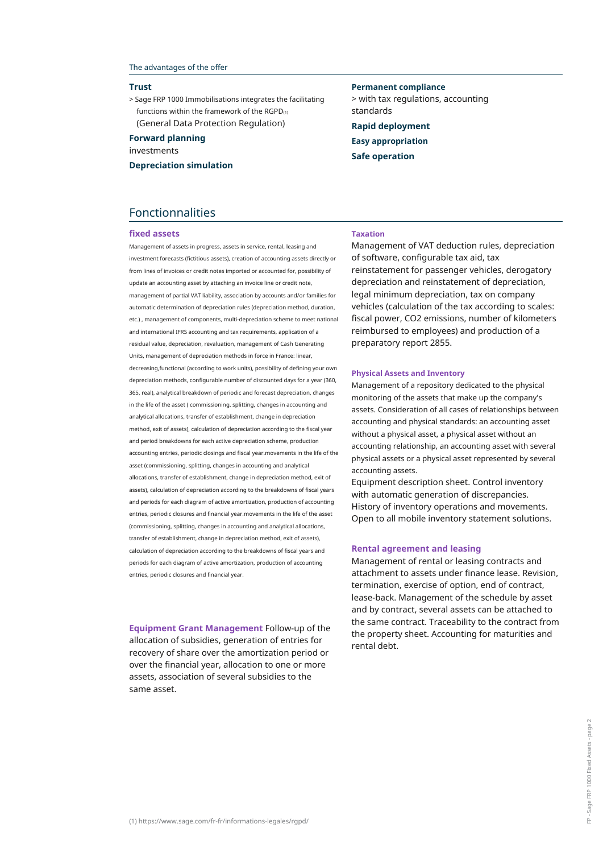#### The advantages of the offer

#### **Trust**

> Sage FRP 1000 Immobilisations integrates the facilitating functions within the framework of the RGPD(1) (General Data Protection Regulation)

**Forward planning**

investments

**Depreciation simulation**

**Permanent compliance** > with tax regulations, accounting standards **Rapid deployment Easy appropriation Safe operation**

## Fonctionnalities

#### **fixed assets**

Management of assets in progress, assets in service, rental, leasing and investment forecasts (fictitious assets), creation of accounting assets directly or from lines of invoices or credit notes imported or accounted for, possibility of update an accounting asset by attaching an invoice line or credit note, management of partial VAT liability, association by accounts and/or families for automatic determination of depreciation rules (depreciation method, duration, etc.) , management of components, multi-depreciation scheme to meet national and international IFRS accounting and tax requirements, application of a residual value, depreciation, revaluation, management of Cash Generating Units, management of depreciation methods in force in France: linear, decreasing,functional (according to work units), possibility of defining your own depreciation methods, configurable number of discounted days for a year (360, 365, real), analytical breakdown of periodic and forecast depreciation, changes in the life of the asset ( commissioning, splitting, changes in accounting and analytical allocations, transfer of establishment, change in depreciation method, exit of assets), calculation of depreciation according to the fiscal year and period breakdowns for each active depreciation scheme, production accounting entries, periodic closings and fiscal year.movements in the life of the asset (commissioning, splitting, changes in accounting and analytical allocations, transfer of establishment, change in depreciation method, exit of assets), calculation of depreciation according to the breakdowns of fiscal years and periods for each diagram of active amortization, production of accounting entries, periodic closures and financial year.movements in the life of the asset (commissioning, splitting, changes in accounting and analytical allocations, transfer of establishment, change in depreciation method, exit of assets), calculation of depreciation according to the breakdowns of fiscal years and periods for each diagram of active amortization, production of accounting entries, periodic closures and financial year.

**Equipment Grant Management** Follow-up of the allocation of subsidies, generation of entries for recovery of share over the amortization period or over the financial year, allocation to one or more assets, association of several subsidies to the same asset.

#### **Taxation**

Management of VAT deduction rules, depreciation of software, configurable tax aid, tax reinstatement for passenger vehicles, derogatory depreciation and reinstatement of depreciation, legal minimum depreciation, tax on company vehicles (calculation of the tax according to scales: fiscal power, CO2 emissions, number of kilometers reimbursed to employees) and production of a preparatory report 2855.

#### **Physical Assets and Inventory**

Management of a repository dedicated to the physical monitoring of the assets that make up the company's assets. Consideration of all cases of relationships between accounting and physical standards: an accounting asset without a physical asset, a physical asset without an accounting relationship, an accounting asset with several physical assets or a physical asset represented by several accounting assets.

Equipment description sheet. Control inventory with automatic generation of discrepancies. History of inventory operations and movements. Open to all mobile inventory statement solutions.

#### **Rental agreement and leasing**

Management of rental or leasing contracts and attachment to assets under finance lease. Revision, termination, exercise of option, end of contract, lease-back. Management of the schedule by asset and by contract, several assets can be attached to the same contract. Traceability to the contract from the property sheet. Accounting for maturities and rental debt.